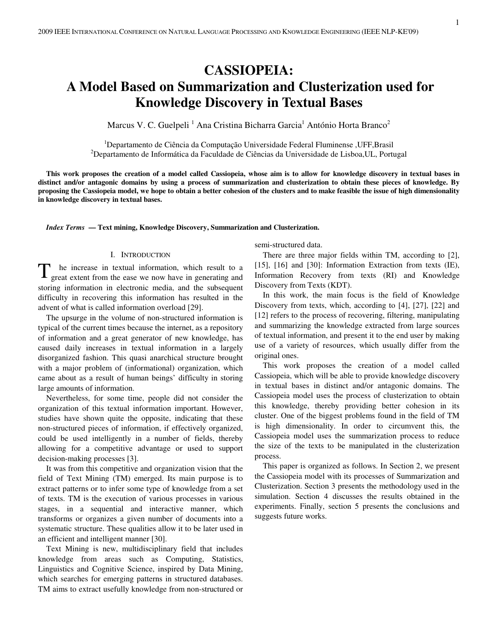# **CASSIOPEIA: A Model Based on Summarization and Clusterization used for Knowledge Discovery in Textual Bases**

Marcus V. C. Guelpeli<sup>1</sup> Ana Cristina Bicharra Garcia<sup>1</sup> António Horta Branco<sup>2</sup>

<sup>1</sup>Departamento de Ciência da Computação Universidade Federal Fluminense ,UFF,Brasil<br><sup>2</sup>Departamento de Informática da Feguldade de Ciências de Universidade de Lisboe III. Portu Departamento de Informática da Faculdade de Ciências da Universidade de Lisboa,UL, Portugal

**This work proposes the creation of a model called Cassiopeia, whose aim is to allow for knowledge discovery in textual bases in distinct and/or antagonic domains by using a process of summarization and clusterization to obtain these pieces of knowledge. By proposing the Cassiopeia model, we hope to obtain a better cohesion of the clusters and to make feasible the issue of high dimensionality in knowledge discovery in textual bases.** 

*Index Terms* **— Text mining, Knowledge Discovery, Summarization and Clusterization.** 

# I. INTRODUCTION

he increase in textual information, which result to a great extent from the ease we now have in generating and storing information in electronic media, and the subsequent difficulty in recovering this information has resulted in the advent of what is called information overload [29]. T

The upsurge in the volume of non-structured information is typical of the current times because the internet, as a repository of information and a great generator of new knowledge, has caused daily increases in textual information in a largely disorganized fashion. This quasi anarchical structure brought with a major problem of (informational) organization, which came about as a result of human beings' difficulty in storing large amounts of information.

Nevertheless, for some time, people did not consider the organization of this textual information important. However, studies have shown quite the opposite, indicating that these non-structured pieces of information, if effectively organized, could be used intelligently in a number of fields, thereby allowing for a competitive advantage or used to support decision-making processes [3].

It was from this competitive and organization vision that the field of Text Mining (TM) emerged. Its main purpose is to extract patterns or to infer some type of knowledge from a set of texts. TM is the execution of various processes in various stages, in a sequential and interactive manner, which transforms or organizes a given number of documents into a systematic structure. These qualities allow it to be later used in an efficient and intelligent manner [30].

Text Mining is new, multidisciplinary field that includes knowledge from areas such as Computing, Statistics, Linguistics and Cognitive Science, inspired by Data Mining, which searches for emerging patterns in structured databases. TM aims to extract usefully knowledge from non-structured or

semi-structured data.

There are three major fields within TM, according to [2], [15], [16] and [30]: Information Extraction from texts (IE), Information Recovery from texts (RI) and Knowledge Discovery from Texts (KDT).

In this work, the main focus is the field of Knowledge Discovery from texts, which, according to [4], [27], [22] and [12] refers to the process of recovering, filtering, manipulating and summarizing the knowledge extracted from large sources of textual information, and present it to the end user by making use of a variety of resources, which usually differ from the original ones.

This work proposes the creation of a model called Cassiopeia, which will be able to provide knowledge discovery in textual bases in distinct and/or antagonic domains. The Cassiopeia model uses the process of clusterization to obtain this knowledge, thereby providing better cohesion in its cluster. One of the biggest problems found in the field of TM is high dimensionality. In order to circumvent this, the Cassiopeia model uses the summarization process to reduce the size of the texts to be manipulated in the clusterization process.

This paper is organized as follows. In Section 2, we present the Cassiopeia model with its processes of Summarization and Clusterization. Section 3 presents the methodology used in the simulation. Section 4 discusses the results obtained in the experiments. Finally, section 5 presents the conclusions and suggests future works.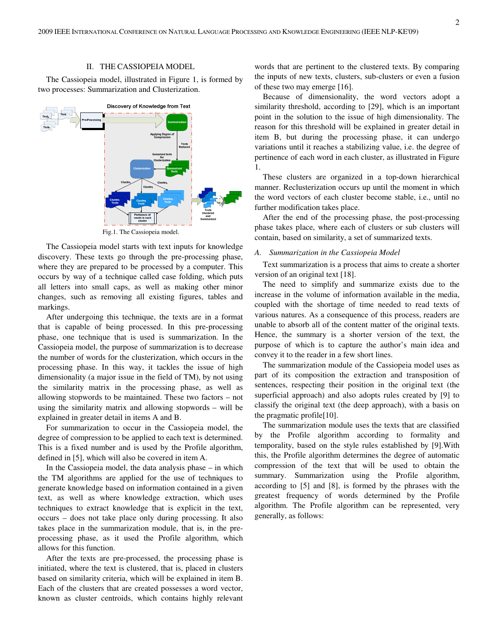#### II. THE CASSIOPEIA MODEL

The Cassiopeia model, illustrated in Figure 1, is formed by two processes: Summarization and Clusterization.



Fig.1. The Cassiopeia model.

The Cassiopeia model starts with text inputs for knowledge discovery. These texts go through the pre-processing phase, where they are prepared to be processed by a computer. This occurs by way of a technique called case folding, which puts all letters into small caps, as well as making other minor changes, such as removing all existing figures, tables and markings.

After undergoing this technique, the texts are in a format that is capable of being processed. In this pre-processing phase, one technique that is used is summarization. In the Cassiopeia model, the purpose of summarization is to decrease the number of words for the clusterization, which occurs in the processing phase. In this way, it tackles the issue of high dimensionality (a major issue in the field of TM), by not using the similarity matrix in the processing phase, as well as allowing stopwords to be maintained. These two factors – not using the similarity matrix and allowing stopwords – will be explained in greater detail in items A and B.

For summarization to occur in the Cassiopeia model, the degree of compression to be applied to each text is determined. This is a fixed number and is used by the Profile algorithm, defined in [5], which will also be covered in item A.

In the Cassiopeia model, the data analysis phase – in which the TM algorithms are applied for the use of techniques to generate knowledge based on information contained in a given text, as well as where knowledge extraction, which uses techniques to extract knowledge that is explicit in the text, occurs – does not take place only during processing. It also takes place in the summarization module, that is, in the preprocessing phase, as it used the Profile algorithm, which allows for this function.

After the texts are pre-processed, the processing phase is initiated, where the text is clustered, that is, placed in clusters based on similarity criteria, which will be explained in item B. Each of the clusters that are created possesses a word vector, known as cluster centroids, which contains highly relevant

words that are pertinent to the clustered texts. By comparing the inputs of new texts, clusters, sub-clusters or even a fusion of these two may emerge [16].

Because of dimensionality, the word vectors adopt a similarity threshold, according to [29], which is an important point in the solution to the issue of high dimensionality. The reason for this threshold will be explained in greater detail in item B, but during the processing phase, it can undergo variations until it reaches a stabilizing value, i.e. the degree of pertinence of each word in each cluster, as illustrated in Figure 1.

These clusters are organized in a top-down hierarchical manner. Reclusterization occurs up until the moment in which the word vectors of each cluster become stable, i.e., until no further modification takes place.

After the end of the processing phase, the post-processing phase takes place, where each of clusters or sub clusters will contain, based on similarity, a set of summarized texts.

## *A. Summarization in the Cassiopeia Model*

Text summarization is a process that aims to create a shorter version of an original text [18].

The need to simplify and summarize exists due to the increase in the volume of information available in the media, coupled with the shortage of time needed to read texts of various natures. As a consequence of this process, readers are unable to absorb all of the content matter of the original texts. Hence, the summary is a shorter version of the text, the purpose of which is to capture the author's main idea and convey it to the reader in a few short lines.

The summarization module of the Cassiopeia model uses as part of its composition the extraction and transposition of sentences, respecting their position in the original text (the superficial approach) and also adopts rules created by [9] to classify the original text (the deep approach), with a basis on the pragmatic profile[10].

The summarization module uses the texts that are classified by the Profile algorithm according to formality and temporality, based on the style rules established by [9].With this, the Profile algorithm determines the degree of automatic compression of the text that will be used to obtain the summary. Summarization using the Profile algorithm, according to [5] and [8], is formed by the phrases with the greatest frequency of words determined by the Profile algorithm. The Profile algorithm can be represented, very generally, as follows: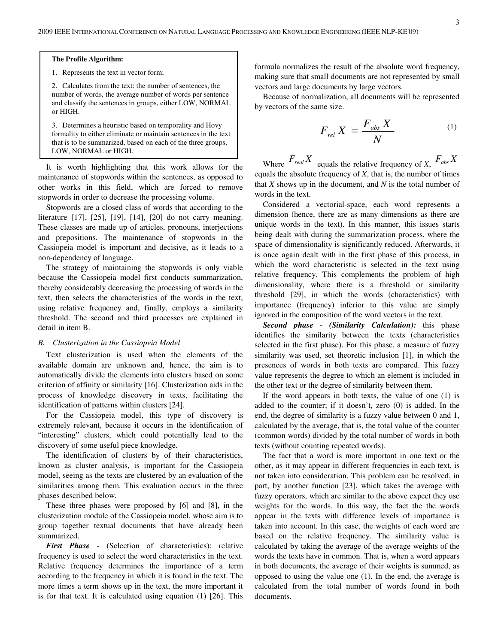# **The Profile Algorithm:**

1. Represents the text in vector form;

2. Calculates from the text: the number of sentences, the number of words, the average number of words per sentence and classify the sentences in groups, either LOW, NORMAL or HIGH.

3. Determines a heuristic based on temporality and Hovy formality to either eliminate or maintain sentences in the text that is to be summarized, based on each of the three groups, LOW, NORMAL or HIGH.

It is worth highlighting that this work allows for the maintenance of stopwords within the sentences, as opposed to other works in this field, which are forced to remove stopwords in order to decrease the processing volume.

Stopwords are a closed class of words that according to the literature [17], [25], [19], [14], [20] do not carry meaning. These classes are made up of articles, pronouns, interjections and prepositions. The maintenance of stopwords in the Cassiopeia model is important and decisive, as it leads to a non-dependency of language.

The strategy of maintaining the stopwords is only viable because the Cassiopeia model first conducts summarization, thereby considerably decreasing the processing of words in the text, then selects the characteristics of the words in the text, using relative frequency and, finally, employs a similarity threshold. The second and third processes are explained in detail in item B.

# *B. Clusterization in the Cassiopeia Model*

Text clusterization is used when the elements of the available domain are unknown and, hence, the aim is to automatically divide the elements into clusters based on some criterion of affinity or similarity [16]. Clusterization aids in the process of knowledge discovery in texts, facilitating the identification of patterns within clusters [24].

For the Cassiopeia model, this type of discovery is extremely relevant, because it occurs in the identification of "interesting" clusters, which could potentially lead to the discovery of some useful piece knowledge.

The identification of clusters by of their characteristics, known as cluster analysis, is important for the Cassiopeia model, seeing as the texts are clustered by an evaluation of the similarities among them. This evaluation occurs in the three phases described below.

These three phases were proposed by [6] and [8], in the clusterization module of the Cassiopeia model, whose aim is to group together textual documents that have already been summarized.

*First Phase* - (Selection of characteristics): relative frequency is used to select the word characteristics in the text. Relative frequency determines the importance of a term according to the frequency in which it is found in the text. The more times a term shows up in the text, the more important it is for that text. It is calculated using equation (1) [26]. This formula normalizes the result of the absolute word frequency, making sure that small documents are not represented by small vectors and large documents by large vectors.

Because of normalization, all documents will be represented by vectors of the same size.

$$
F_{rel} X = \frac{F_{abs} X}{N}
$$
 (1)

Where  $F_{real}X$  equals the relative frequency of *X*,  $F_{abs}X$ equals the absolute frequency of *X*, that is, the number of times that *X* shows up in the document, and *N* is the total number of words in the text.

Considered a vectorial-space, each word represents a dimension (hence, there are as many dimensions as there are unique words in the text). In this manner, this issues starts being dealt with during the summarization process, where the space of dimensionality is significantly reduced. Afterwards, it is once again dealt with in the first phase of this process, in which the word characteristic is selected in the text using relative frequency. This complements the problem of high dimensionality, where there is a threshold or similarity threshold [29], in which the words (characteristics) with importance (frequency) inferior to this value are simply ignored in the composition of the word vectors in the text.

*Second phase* - *(Similarity Calculation):* this phase identifies the similarity between the texts (characteristics selected in the first phase). For this phase, a measure of fuzzy similarity was used, set theoretic inclusion [1], in which the presences of words in both texts are compared. This fuzzy value represents the degree to which an element is included in the other text or the degree of similarity between them.

If the word appears in both texts, the value of one (1) is added to the counter; if it doesn't, zero (0) is added. In the end, the degree of similarity is a fuzzy value between 0 and 1, calculated by the average, that is, the total value of the counter (common words) divided by the total number of words in both texts (without counting repeated words).

The fact that a word is more important in one text or the other, as it may appear in different frequencies in each text, is not taken into consideration. This problem can be resolved, in part, by another function [23], which takes the average with fuzzy operators, which are similar to the above expect they use weights for the words. In this way, the fact the the words appear in the texts with difference levels of importance is taken into account. In this case, the weights of each word are based on the relative frequency. The similarity value is calculated by taking the average of the average weights of the words the texts have in common. That is, when a word appears in both documents, the average of their weights is summed, as opposed to using the value one (1). In the end, the average is calculated from the total number of words found in both documents.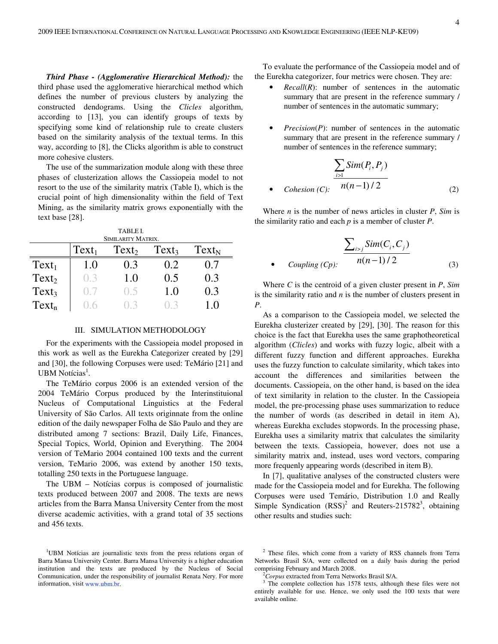*Third Phase - (Agglomerative Hierarchical Method):* the third phase used the agglomerative hierarchical method which defines the number of previous clusters by analyzing the constructed dendograms. Using the *Clicles* algorithm, according to [13], you can identify groups of texts by specifying some kind of relationship rule to create clusters based on the similarity analysis of the textual terms. In this way, according to [8], the Clicks algorithm is able to construct more cohesive clusters.

The use of the summarization module along with these three phases of clusterization allows the Cassiopeia model to not resort to the use of the similarity matrix (Table I), which is the crucial point of high dimensionality within the field of Text Mining, as the similarity matrix grows exponentially with the text base [28].

| <b>TABLE I.</b>    |          |                   |                   |            |  |  |
|--------------------|----------|-------------------|-------------------|------------|--|--|
| SIMILARITY MATRIX. |          |                   |                   |            |  |  |
|                    | $Text_1$ | Text <sub>2</sub> | Text <sub>3</sub> | $Text_{N}$ |  |  |
| $Text_1$           | 1.0      | 0.3               | 0.2               | 0.7        |  |  |
| Text <sub>2</sub>  | 0.3      | 1.0               | 0.5               | 0.3        |  |  |
| Text3              | ()       | (0.5)             | 1.0               | 0.3        |  |  |
| $Text_n$           | () ()    |                   |                   | 1.0        |  |  |

#### III. SIMULATION METHODOLOGY

For the experiments with the Cassiopeia model proposed in this work as well as the Eurekha Categorizer created by [29] and [30], the following Corpuses were used: TeMário [21] and UBM Notícias<sup>1</sup>.

The TeMário corpus 2006 is an extended version of the 2004 TeMário Corpus produced by the Interinstituional Nucleus of Computational Linguistics at the Federal University of São Carlos. All texts originnate from the online edition of the daily newspaper Folha de São Paulo and they are distributed among 7 sections: Brazil, Daily Life, Finances, Special Topics, World, Opinion and Everything. The 2004 version of TeMario 2004 contained 100 texts and the current version, TeMario 2006, was extend by another 150 texts, totalling 250 texts in the Portuguese language.

The UBM – Notícias corpus is composed of journalistic texts produced between 2007 and 2008. The texts are news articles from the Barra Mansa University Center from the most diverse academic activities, with a grand total of 35 sections and 456 texts.

<sup>1</sup>UBM Notícias are journalistic texts from the press relations organ of Barra Mansa University Center. Barra Mansa University is a higher education institution and the texts are produced by the Nucleus of Social Communication, under the responsibility of journalist Renata Nery. For more information, visit www.ubm.br.

To evaluate the performance of the Cassiopeia model and of the Eurekha categorizer, four metrics were chosen. They are:

*Recall*(*R*): number of sentences in the automatic summary that are present in the reference summary / number of sentences in the automatic summary;

*Precision(P)*: number of sentences in the automatic summary that are present in the reference summary / number of sentences in the reference summary;

$$
\frac{\sum_{i>1} Sim(P_i, P_j)}{Cohesion(C):} \frac{n(n-1)/2}{(2)}
$$
 (2)

Where *n* is the number of news articles in cluster *P*, *Sim* is the similarity ratio and each *p* is a member of cluster *P*.

$$
\frac{\sum_{i>j} Sim(C_i, C_j)}{n(n-1)/2}
$$
\ncoupling (Cp):

\n
$$
(3)
$$

Where *C* is the centroid of a given cluster present in *P*, *Sim* is the similarity ratio and *n* is the number of clusters present in *P*.

As a comparison to the Cassiopeia model, we selected the Eurekha clusterizer created by [29], [30]. The reason for this choice is the fact that Eurekha uses the same graphotheoretical algorithm (*Clicles*) and works with fuzzy logic, albeit with a different fuzzy function and different approaches. Eurekha uses the fuzzy function to calculate similarity, which takes into account the differences and similarities between the documents. Cassiopeia, on the other hand, is based on the idea of text similarity in relation to the cluster. In the Cassiopeia model, the pre-processing phase uses summarization to reduce the number of words (as described in detail in item A), whereas Eurekha excludes stopwords. In the processing phase, Eurekha uses a similarity matrix that calculates the similarity between the texts. Cassiopeia, however, does not use a similarity matrix and, instead, uses word vectors, comparing more frequenly appearing words (described in item B).

In [7], qualitative analyses of the constructed clusters were made for the Cassiopeia model and for Eurekha. The following Corpuses were used Temário, Distribution 1.0 and Really Simple Syndication  $(RSS)^2$  and Reuters-215782<sup>3</sup>, obtaining other results and studies such:

<sup>&</sup>lt;sup>2</sup> These files, which come from a variety of RSS channels from Terra Networks Brasil S/A, were collected on a daily basis during the period comprising February and March 2008.

<sup>&</sup>lt;sup>2</sup>Corpus extracted from Terra Networks Brasil S/A.

 $3$  The complete collection has 1578 texts, although these files were not entirely available for use. Hence, we only used the 100 texts that were available online.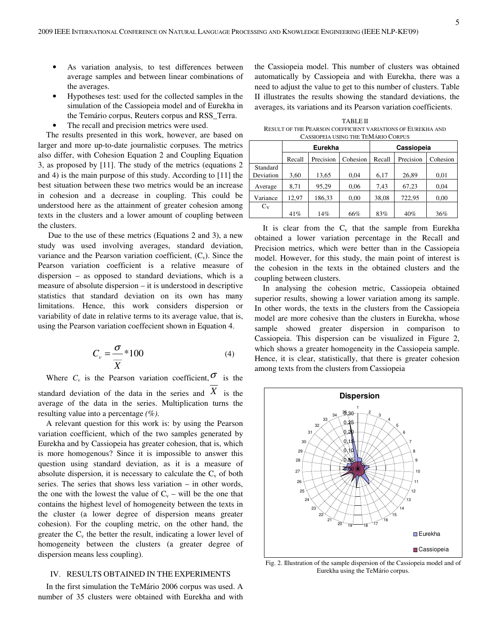As variation analysis, to test differences between average samples and between linear combinations of the averages.

Hypotheses test: used for the collected samples in the simulation of the Cassiopeia model and of Eurekha in the Temário corpus, Reuters corpus and RSS\_Terra.

The recall and precision metrics were used.

The results presented in this work, however, are based on larger and more up-to-date journalistic corpuses. The metrics also differ, with Cohesion Equation 2 and Coupling Equation 3, as proposed by [11]. The study of the metrics (equations 2 and 4) is the main purpose of this study. According to [11] the best situation between these two metrics would be an increase in cohesion and a decrease in coupling. This could be understood here as the attainment of greater cohesion among texts in the clusters and a lower amount of coupling between the clusters.

 Due to the use of these metrics (Equations 2 and 3), a new study was used involving averages, standard deviation, variance and the Pearson variation coefficient,  $(C_v)$ . Since the Pearson variation coefficient is a relative measure of dispersion – as opposed to standard deviations, which is a measure of absolute dispersion – it is understood in descriptive statistics that standard deviation on its own has many limitations. Hence, this work considers dispersion or variability of date in relative terms to its average value, that is, using the Pearson variation coeffecient shown in Equation 4.

$$
C_v = \frac{\sigma}{\overline{X}} * 100
$$
 (4)

Where  $C_v$  is the Pearson variation coefficient,  $\sigma$  is the standard deviation of the data in the series and  $X$  is the average of the data in the series. Multiplication turns the resulting value into a percentage *(%)*.

A relevant question for this work is: by using the Pearson variation coefficient, which of the two samples generated by Eurekha and by Cassiopeia has greater cohesion, that is, which is more homogenous? Since it is impossible to answer this question using standard deviation, as it is a measure of absolute dispersion, it is necessary to calculate the  $C_v$  of both series. The series that shows less variation – in other words, the one with the lowest the value of  $C_v$  – will be the one that contains the highest level of homogeneity between the texts in the cluster (a lower degree of dispersion means greater cohesion). For the coupling metric, on the other hand, the greater the  $C_v$  the better the result, indicating a lower level of homogeneity between the clusters (a greater degree of dispersion means less coupling).

# IV. RESULTS OBTAINED IN THE EXPERIMENTS

In the first simulation the TeMário 2006 corpus was used. A number of 35 clusters were obtained with Eurekha and with

the Cassiopeia model. This number of clusters was obtained automatically by Cassiopeia and with Eurekha, there was a need to adjust the value to get to this number of clusters. Table II illustrates the results showing the standard deviations, the averages, its variations and its Pearson variation coefficients.

TABLE II RESULT OF THE PEARSON COEFFICIENT VARIATIONS OF EUREKHA AND CASSIOPEIA USING THE TEMÁRIO CORPUS

|           | <b>Eurekha</b> |           |          | Cassiopeia |           |          |
|-----------|----------------|-----------|----------|------------|-----------|----------|
|           | Recall         | Precision | Cohesion | Recall     | Precision | Cohesion |
| Standard  |                |           |          |            |           |          |
| Deviation | 3.60           | 13,65     | 0.04     | 6,17       | 26,89     | 0,01     |
| Average   | 8,71           | 95.29     | 0.06     | 7.43       | 67,23     | 0,04     |
| Variance  | 12.97          | 186,33    | 0,00     | 38,08      | 722.95    | 0,00     |
| $C_V$     |                |           |          |            |           |          |
|           | 41%            | 14%       | 66%      | 83%        | 40%       | 36%      |

It is clear from the  $C_v$  that the sample from Eurekha obtained a lower variation percentage in the Recall and Precision metrics, which were better than in the Cassiopeia model. However, for this study, the main point of interest is the cohesion in the texts in the obtained clusters and the coupling between clusters.

In analysing the cohesion metric, Cassiopeia obtained superior results, showing a lower variation among its sample. In other words, the texts in the clusters from the Cassiopeia model are more cohesive than the clusters in Eurekha, whose sample showed greater dispersion in comparison to Cassiopeia. This dispersion can be visualized in Figure 2, which shows a greater homogeneity in the Cassiopeia sample. Hence, it is clear, statistically, that there is greater cohesion among texts from the clusters from Cassiopeia



Fig. 2. Illustration of the sample dispersion of the Cassiopeia model and of Eurekha using the TeMário corpus.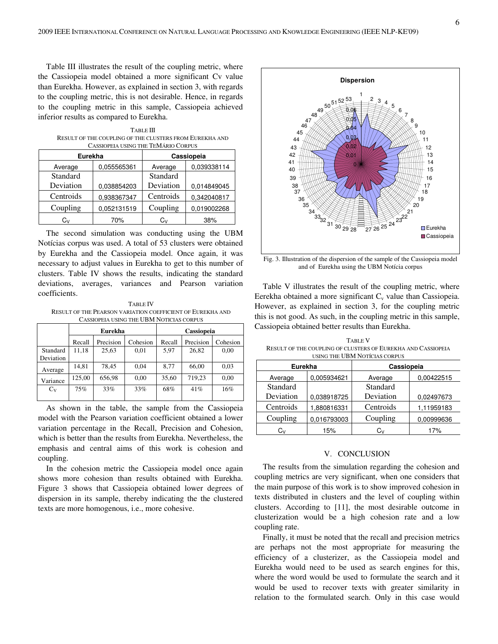Table III illustrates the result of the coupling metric, where the Cassiopeia model obtained a more significant Cv value than Eurekha. However, as explained in section 3, with regards to the coupling metric, this is not desirable. Hence, in regards to the coupling metric in this sample, Cassiopeia achieved inferior results as compared to Eurekha.

TABLE III RESULT OF THE COUPLING OF THE CLUSTERS FROM EUREKHA AND CASSIOPEIA USING THE TEMÁRIO CORPUS

| <b>Eurekha</b> |             | Cassiopeia |             |  |
|----------------|-------------|------------|-------------|--|
| Average        | 0.055565361 | Average    | 0.039338114 |  |
| Standard       |             | Standard   |             |  |
| Deviation      | 0.038854203 | Deviation  | 0.014849045 |  |
| Centroids      | 0.938367347 | Centroids  | 0.342040817 |  |
| Coupling       | 0,052131519 | Coupling   | 0.019002268 |  |
| Cv             | 70%         | Cv         | 38%         |  |

The second simulation was conducting using the UBM Notícias corpus was used. A total of 53 clusters were obtained by Eurekha and the Cassiopeia model. Once again, it was necessary to adjust values in Eurekha to get to this number of clusters. Table IV shows the results, indicating the standard deviations, averages, variances and Pearson variation coefficients.

TABLE IV RESULT OF THE PEARSON VARIATION COEFFICIENT OF EUREKHA AND CASSIOPEIA USING THE UBM NOTICIAS CORPUS

|                       | Eurekha |           | Cassiopeia |        |           |          |
|-----------------------|---------|-----------|------------|--------|-----------|----------|
|                       | Recall  | Precision | Cohesion   | Recall | Precision | Cohesion |
| Standard<br>Deviation | 11,18   | 25,63     | 0,01       | 5,97   | 26,82     | 0,00     |
| Average               | 14.81   | 78,45     | 0.04       | 8.77   | 66,00     | 0.03     |
| Variance              | 125.00  | 656.98    | 0.00       | 35.60  | 719.23    | 0.00     |
| $C_V$                 | 75%     | 33%       | 33%        | 68%    | 41%       | 16%      |

As shown in the table, the sample from the Cassiopeia model with the Pearson variation coefficient obtained a lower variation percentage in the Recall, Precision and Cohesion, which is better than the results from Eurekha. Nevertheless, the emphasis and central aims of this work is cohesion and coupling.

In the cohesion metric the Cassiopeia model once again shows more cohesion than results obtained with Eurekha. Figure 3 shows that Cassiopeia obtained lower degrees of dispersion in its sample, thereby indicating the the clustered texts are more homogenous, i.e., more cohesive.



Fig. 3. Illustration of the dispersion of the sample of the Cassiopeia model and of Eurekha using the UBM Notícia corpus

Table V illustrates the result of the coupling metric, where Eerekha obtained a more significant  $C_v$  value than Cassiopeia. However, as explained in section 3, for the coupling metric this is not good. As such, in the coupling metric in this sample, Cassiopeia obtained better results than Eurekha.

TABLE V RESULT OF THE COUPLING OF CLUSTERS OF EUREKHA AND CASSIOPEIA USING THE UBM NOTÍCIAS CORPUS

| <b>Eurekha</b> |             | Cassiopeia |            |
|----------------|-------------|------------|------------|
| Average        | 0.005934621 | Average    | 0.00422515 |
| Standard       |             | Standard   |            |
| Deviation      | 0.038918725 | Deviation  | 0.02497673 |
| Centroids      | 1,880816331 | Centroids  | 1,11959183 |
| Coupling       | 0.016793003 | Coupling   | 0.00999636 |
| Cv             | 15%         | Cv         | 17%        |

## V. CONCLUSION

The results from the simulation regarding the cohesion and coupling metrics are very significant, when one considers that the main purpose of this work is to show improved cohesion in texts distributed in clusters and the level of coupling within clusters. According to [11], the most desirable outcome in clusterization would be a high cohesion rate and a low coupling rate.

Finally, it must be noted that the recall and precision metrics are perhaps not the most appropriate for measuring the efficiency of a clusterizer, as the Cassiopeia model and Eurekha would need to be used as search engines for this, where the word would be used to formulate the search and it would be used to recover texts with greater similarity in relation to the formulated search. Only in this case would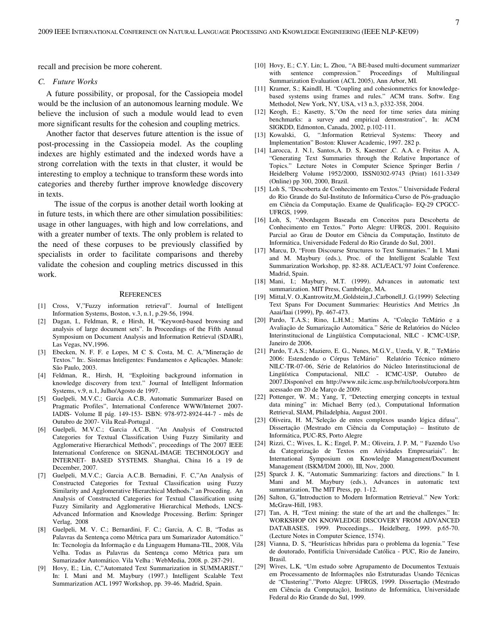recall and precision be more coherent.

## *C. Future Works*

A future possibility, or proposal, for the Cassiopeia model would be the inclusion of an autonomous learning module. We believe the inclusion of such a module would lead to even more significant results for the cohesion and coupling metrics.

Another factor that deserves future attention is the issue of post-processing in the Cassiopeia model. As the coupling indexes are highly estimated and the indexed words have a strong correlation with the texts in that cluster, it would be interesting to employ a technique to transform these words into categories and thereby further improve knowledge discovery in texts.

 The issue of the corpus is another detail worth looking at in future tests, in which there are other simulation possibilities: usage in other languages, with high and low correlations, and with a greater number of texts. The only problem is related to the need of these corpuses to be previously classified by specialists in order to facilitate comparisons and thereby validate the cohesion and coupling metrics discussed in this work.

## **REFERENCES**

- [1] Cross, V,"Fuzzy information retrieval". Journal of Intelligent Information Systems, Boston, v.3, n.1, p.29-56, 1994.
- Dagan, I., Feldman, R, e Hirsh, H, "Keyword-based browsing and analysis of large document sets". In Proceedings of the Fifth Annual Symposium on Document Analysis and Information Retrieval (SDAIR), Las Vegas, NV,1996.
- [3] Ebecken, N. F. F. e Lopes, M C S. Costa, M. C. A,"Mineração de Textos." In:. Sistemas Inteligentes: Fundamentos e Aplicações. Manole: São Paulo, 2003.
- Feldman, R., Hirsh, H, "Exploiting background information in knowledge discovery from text." Journal of Intelligent Information Systems, v.9, n.1, Julho/Agosto de 1997.
- [5] Guelpeli, M.V.C.; Garcia A.C.B, Automatic Summarizer Based on Pragmatic Profiles", International Conference WWW/Internet 2007- IADIS- Volume II pág. 149-153- ISBN: 978-972-8924-44-7 - mês de Outubro de 2007- Vila Real-Portugal .
- [6] Guelpeli, M.V.C.; Garcia A.C.B, "An Analysis of Constructed Categories for Textual Classification Using Fuzzy Similarity and Agglomerative Hierarchical Methods", proceedings of The 2007 IEEE International Conference on SIGNAL-IMAGE TECHNOLOGY and INTERNET- BASED SYSTEMS. Shanghai, China 16 a 19 de December, 2007.
- [7] Guelpeli, M.V.C.; Garcia A.C.B. Bernadini, F. C,"An Analysis of Constructed Categories for Textual Classification using Fuzzy Similarity and Agglomerative Hierarchical Methods." an Proceding. An Analysis of Constructed Categories for Textual Classification using Fuzzy Similarity and Agglomerative Hierarchical Methods, LNCS-Advanced Information and Knowledge Processing. Berlim: Springer Verlag, 2008
- [8] Guelpeli, M. V. C.; Bernardini, F. C.; Garcia, A. C. B, "Todas as Palavras da Sentença como Métrica para um Sumarizador Automático." In: Tecnologia da Informação e da Linguagem Humana-TIL, 2008, Vila Velha. Todas as Palavras da Sentença como Métrica para um Sumarizador Automático. Vila Velha : WebMedia, 2008. p. 287-291.
- [9] Hovy, E.; Lin, C,"Automated Text Summarization in SUMMARIST." In: I. Mani and M. Maybury (1997.) Intelligent Scalable Text Summarization ACL 1997 Workshop, pp. 39-46. Madrid, Spain.
- [10] Hovy, E.; C.Y. Lin; L. Zhou, "A BE-based multi-document summarizer with sentence compression." Proceedings of Multilingual Summarization Evaluation (ACL 2005), Ann Arbor, MI.
- [11] Kramer, S.; Kaindll, H. "Coupling and cohesionmetrics for knowledgebased systems using frames and rules." ACM trans. Softw. Eng Methodol, New York, NY, USA, v13 n.3, p332-358, 2004.
- [12] Keogh, E.; Kasetty, S,"On the need for time series data mining benchmarks: a survey and empirical demonstration", In: ACM SIGKDD, Edmonton, Canada, 2002, p.102-111.
- [13] Kowalski, G, ".Information Retrieval Systems: Theory and Implementation" Boston: Kluwer Academic, 1997. 282 p.
- [14] Larocca, J. N.1, Santos,A. D. S, Kaestner ,C. A.A. e Freitas A. A, "Generating Text Summaries through the Relative Importance of Topics." Lecture Notes in Computer Science Springer Berlin / Heidelberg Volume 1952/2000, ISSN0302-9743 (Print) 1611-3349 (Online) pp 300, 2000, Brazil.
- [15] Loh S, "Descoberta de Conhecimento em Textos." Universidade Federal do Rio Grande do Sul-Instituto de Informática-Curso de Pós-graduação em Ciência da Computação. Exame de Qualificação- EQ-29 CPGCC-UFRGS, 1999.
- [16] Loh, S, "Abordagem Baseada em Conceitos para Descoberta de Conhecimento em Textos." Porto Alegre: UFRGS, 2001. Requisito Parcial ao Grau de Doutor em Ciência da Computação, Instituto de Informática, Universidade Federal do Rio Grande do Sul, 2001.
- [17] Marcu, D, "From Discourse Structures to Text Summaries." In I. Mani and M. Maybury (eds.), Proc. of the Intelligent Scalable Text Summarization Workshop, pp. 82-88. ACL/EACL'97 Joint Conference. Madrid, Spain.
- [18] Mani, I.; Maybury, M.T. (1999). Advances in automatic text summarization. MIT Press, Cambridge, MA.
- [19] Mittal,V. O.,Kantrowitz,M.,Goldstein,J.,Carbonell,J. G.(1999) Selecting Text Spans For Document Summaries: Heuristics And Metrics ,In Aaai/Iaai (1999), Pp. 467-473.
- [20] Pardo, T.A.S.; Rino, L.H.M.; Martins A, "Coleção TeMário e a Avaliação de Sumarização Automática." Série de Relatórios do Núcleo Interinstitucional de Lingüística Computacional, NILC - ICMC-USP, Janeiro de 2006.
- [21] Pardo, T.A.S.; Maziero, E. G., Nunes, M.G.V., Uzeda, V. R, " TeMário 2006: Estendendo o Córpus TeMário" Relatório Técnico número NILC-TR-07-06, Série de Relatórios do Núcleo Interinstitucional de Lingüística Computacional, NILC - ICMC-USP, Outubro de 2007.Disponível em http://www.nilc.icmc.usp.br/nilc/tools/corpora.htm acessado em 20 de Março de 2009.
- [22] Pottenger, W. M.; Yang, T, "Detecting emerging concepts in textual data mining" in: Michael Berry (ed.), Computational Information Retrieval, SIAM, Philadelphia, August 2001.
- [23] Oliveira, H. M,"Seleção de entes complexos usando lógica difusa". Dissertação (Mestrado em Ciência da Computação) – Instituto de Informática, PUC-RS, Porto Alegre
- [24] Rizzi, C.; Wives, L. K.; Engel, P. M.; Oliveira, J. P. M, " Fazendo Uso da Categorização de Textos em Atividades Empresariais". In: International Symposium on Knowledge Management/Document Management (ISKM/DM 2000), III, Nov, 2000.
- [25] Sparck J. K, "Automatic Summarizing: factors and directions." In I. Mani and M. Maybury (eds.), Advances in automatic text summarization, The MIT Press, pp. 1-12.
- [26] Salton, G,"Introduction to Modern Information Retrieval." New York: McGraw-Hill, 1983.
- [27] Tan, A. H, "Text mining: the state of the art and the challenges." In: WORKSHOP ON KNOWLEDGE DISCOVERY FROM ADVANCED DATABASES, 1999. Proceedings... Heidelberg, 1999. p.65-70. (Lecture Notes in Computer Science, 1574).
- [28] Vianna, D. S, "Heurísticas híbridas para o problema da logenia." Tese de doutorado, Pontifícia Universidade Católica - PUC, Rio de Janeiro, Brasil.
- [29] Wives, L.K, "Um estudo sobre Agrupamento de Documentos Textuais em Processamento de Informações não Estruturadas Usando Técnicas de "Clustering"."Porto Alegre: UFRGS, 1999. Dissertação (Mestrado em Ciência da Computação), Instituto de Informática, Universidade Federal do Rio Grande do Sul, 1999.